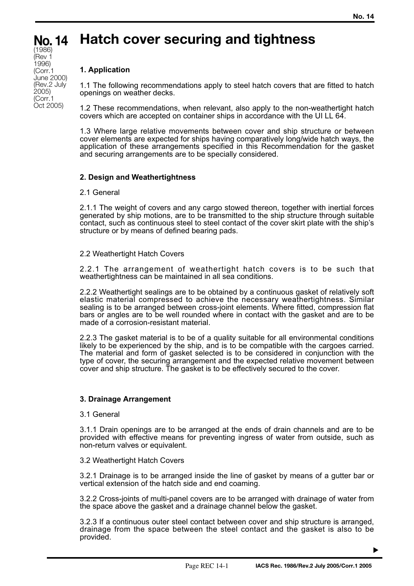### **Hatch cover securing and tightness No. 14** (1986)

# **1. Application**

(Rev 1 1996) (Corr.1 June 2000) (Rev.2 July 2005) (Corr.1 Oct 2005)

1.1 The following recommendations apply to steel hatch covers that are fitted to hatch openings on weather decks.

1.2 These recommendations, when relevant, also apply to the non-weathertight hatch covers which are accepted on container ships in accordance with the UI LL 64.

1.3 Where large relative movements between cover and ship structure or between cover elements are expected for ships having comparatively long/wide hatch ways, the application of these arrangements specified in this Recommendation for the gasket and securing arrangements are to be specially considered.

# **2. Design and Weathertightness**

## 2.1 General

2.1.1 The weight of covers and any cargo stowed thereon, together with inertial forces generated by ship motions, are to be transmitted to the ship structure through suitable contact, such as continuous steel to steel contact of the cover skirt plate with the ship's structure or by means of defined bearing pads.

## 2.2 Weathertight Hatch Covers

2.2.1 The arrangement of weathertight hatch covers is to be such that weathertightness can be maintained in all sea conditions.

2.2.2 Weathertight sealings are to be obtained by a continuous gasket of relatively soft elastic material compressed to achieve the necessary weathertightness. Similar sealing is to be arranged between cross-joint elements. Where fitted, compression flat bars or angles are to be well rounded where in contact with the gasket and are to be made of a corrosion-resistant material.

2.2.3 The gasket material is to be of a quality suitable for all environmental conditions likely to be experienced by the ship, and is to be compatible with the cargoes carried. The material and form of gasket selected is to be considered in conjunction with the type of cover, the securing arrangement and the expected relative movement between cover and ship structure. The gasket is to be effectively secured to the cover.

## **3. Drainage Arrangement**

## 3.1 General

3.1.1 Drain openings are to be arranged at the ends of drain channels and are to be provided with effective means for preventing ingress of water from outside, such as non-return valves or equivalent.

## 3.2 Weathertight Hatch Covers

3.2.1 Drainage is to be arranged inside the line of gasket by means of a gutter bar or vertical extension of the hatch side and end coaming.

3.2.2 Cross-joints of multi-panel covers are to be arranged with drainage of water from the space above the gasket and a drainage channel below the gasket.

3.2.3 If a continuous outer steel contact between cover and ship structure is arranged, drainage from the space between the steel contact and the gasket is also to be provided.

▼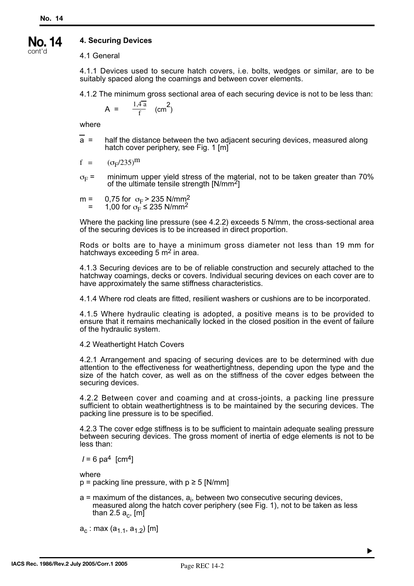#### **4. Securing Devices No. 14**

cont'd

4.1 General

4.1.1 Devices used to secure hatch covers, i.e. bolts, wedges or similar, are to be suitably spaced along the coamings and between cover elements.

4.1.2 The minimum gross sectional area of each securing device is not to be less than:

$$
A = \frac{1.4a}{f} \quad (cm^2)
$$

where

a = half the distance between the two adjacent securing devices, measured along hatch cover periphery, see Fig. 1 [m]

$$
f = (\sigma_F/235)^m
$$

- $\sigma_F$  = minimum upper yield stress of the material, not to be taken greater than 70% of the ultimate tensile strength  $[N/mm^2]$
- m = 0,75 for  $\sigma_F$  > 235 N/mm<sup>2</sup> = 1,00 for  $\sigma_{\rm F}^2$  ≤ 235 N/mm<sup>2</sup>

Where the packing line pressure (see 4.2.2) exceeds 5 N/mm, the cross-sectional area of the securing devices is to be increased in direct proportion.

Rods or bolts are to have a minimum gross diameter not less than 19 mm for hatchways exceeding  $5 \text{ m}^2$  in area.

4.1.3 Securing devices are to be of reliable construction and securely attached to the hatchway coamings, decks or covers. Individual securing devices on each cover are to have approximately the same stiffness characteristics.

4.1.4 Where rod cleats are fitted, resilient washers or cushions are to be incorporated.

4.1.5 Where hydraulic cleating is adopted, a positive means is to be provided to ensure that it remains mechanically locked in the closed position in the event of failure of the hydraulic system.

4.2 Weathertight Hatch Covers

4.2.1 Arrangement and spacing of securing devices are to be determined with due attention to the effectiveness for weathertightness, depending upon the type and the size of the hatch cover, as well as on the stiffness of the cover edges between the securing devices.

4.2.2 Between cover and coaming and at cross-joints, a packing line pressure sufficient to obtain weathertightness is to be maintained by the securing devices. The packing line pressure is to be specified.

4.2.3 The cover edge stiffness is to be sufficient to maintain adequate sealing pressure between securing devices. The gross moment of inertia of edge elements is not to be less than:

 $I = 6$  pa<sup>4</sup> [cm<sup>4</sup>]

where

 $p =$  packing line pressure, with  $p \ge 5$  [N/mm]

a = maximum of the distances, a<sub>i</sub>, between two consecutive securing devices, measured along the hatch cover periphery (see Fig. 1), not to be taken as less than 2.5  $a_c$ , [m]

 $a_c$  : max  $(a_{1,1}, a_{1,2})$  [m]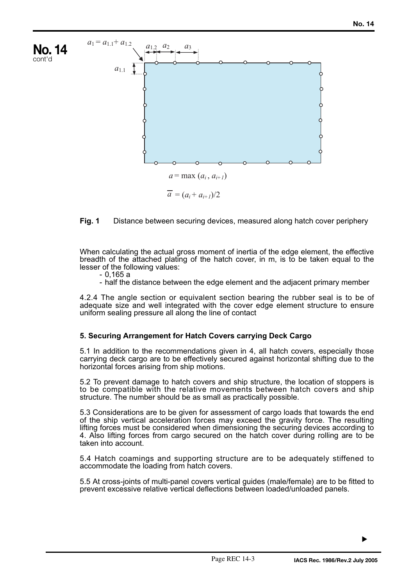

# **Fig. 1** Distance between securing devices, measured along hatch cover periphery

When calculating the actual gross moment of inertia of the edge element, the effective breadth of the attached plating of the hatch cover, in m, is to be taken equal to the lesser of the following values:

- 0,165 a

- half the distance between the edge element and the adjacent primary member

4.2.4 The angle section or equivalent section bearing the rubber seal is to be of adequate size and well integrated with the cover edge element structure to ensure uniform sealing pressure all along the line of contact

## **5. Securing Arrangement for Hatch Covers carrying Deck Cargo**

5.1 In addition to the recommendations given in 4, all hatch covers, especially those carrying deck cargo are to be effectively secured against horizontal shifting due to the horizontal forces arising from ship motions.

5.2 To prevent damage to hatch covers and ship structure, the location of stoppers is to be compatible with the relative movements between hatch covers and ship structure. The number should be as small as practically possible.

5.3 Considerations are to be given for assessment of cargo loads that towards the end of the ship vertical acceleration forces may exceed the gravity force. The resulting lifting forces must be considered when dimensioning the securing devices according to 4. Also lifting forces from cargo secured on the hatch cover during rolling are to be taken into account.

5.4 Hatch coamings and supporting structure are to be adequately stiffened to accommodate the loading from hatch covers.

5.5 At cross-joints of multi-panel covers vertical guides (male/female) are to be fitted to prevent excessive relative vertical deflections between loaded/unloaded panels.

▼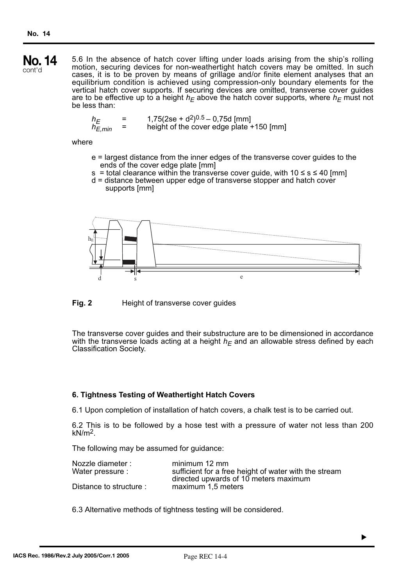5.6 In the absence of hatch cover lifting under loads arising from the ship's rolling motion, securing devices for non-weathertight hatch covers may be omitted. In such cases, it is to be proven by means of grillage and/or finite element analyses that an equilibrium condition is achieved using compression-only boundary elements for the vertical hatch cover supports. If securing devices are omitted, transverse cover guides are to be effective up to a height  $h_F$  above the hatch cover supports, where  $h_F$  must not be less than: **No. 14** cont'd

$$
h_E = 1,75(2se + d^2)^{0.5} - 0,75d \text{ [mm]}
$$
  
\n
$$
h_{E,min} = \text{height of the cover edge plate} + 150 \text{ [mm]}
$$

### where

- e = largest distance from the inner edges of the transverse cover guides to the ends of the cover edge plate [mm]
- s = total clearance within the transverse cover guide, with  $10 \le s \le 40$  [mm]
- d = distance between upper edge of transverse stopper and hatch cover supports [mm]



**Fig. 2** Height of transverse cover guides

The transverse cover guides and their substructure are to be dimensioned in accordance with the transverse loads acting at a height  $h_F$  and an allowable stress defined by each Classification Society.

## **6. Tightness Testing of Weathertight Hatch Covers**

6.1 Upon completion of installation of hatch covers, a chalk test is to be carried out.

6.2 This is to be followed by a hose test with a pressure of water not less than 200  $kN/m<sup>2</sup>$ .

The following may be assumed for guidance:

| Nozzle diameter:        | minimum 12 mm                                         |
|-------------------------|-------------------------------------------------------|
| Water pressure :        | sufficient for a free height of water with the stream |
|                         | directed upwards of 10 meters maximum                 |
| Distance to structure : | maximum 1,5 meters                                    |

6.3 Alternative methods of tightness testing will be considered.

▼